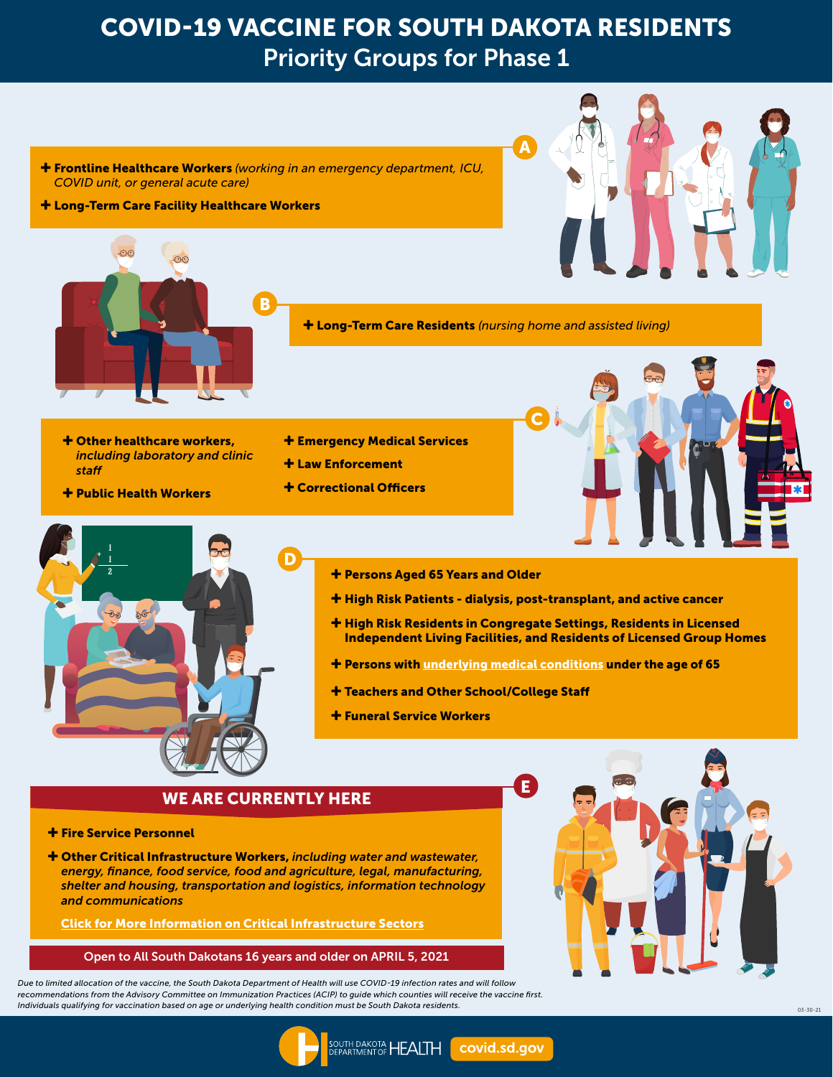## COVID-19 VACCINE FOR SOUTH DAKOTA RESIDENTS Priority Groups for Phase 1

- Frontline Healthcare Workers *(working in an emergency department, ICU, COVID unit, or general acute care)*
- Long-Term Care Facility Healthcare Workers





Long-Term Care Residents *(nursing home and assisted living)*

A

- Other healthcare workers, *including laboratory and clinic staff*
- Public Health Workers
- **+ Emergency Medical Services**
- Law Enforcement
- Correctional Officers





- Persons Aged 65 Years and Older
- High Risk Patients dialysis, post-transplant, and active cancer
- **+ High Risk Residents in Congregate Settings, Residents in Licensed** Independent Living Facilities, and Residents of Licensed Group Homes
- + Persons with [underlying medical conditions](https://doh.sd.gov/COVID/Vaccine/medicalconditions/) under the age of 65

E

- Teachers and Other School/College Staff
- Funeral Service Workers

## WE ARE CURRENTLY HERE

- **+ Fire Service Personnel**
- Other Critical Infrastructure Workers, *including water and wastewater, energy, finance, food service, food and agriculture, legal, manufacturing, shelter and housing, transportation and logistics, information technology and communications*

[Click for More Information on Critical Infrastructure Sectors](https://doh.sd.gov/documents/COVID19/Vaccine/CISA_Guidance_on_Essential_Critical_Infrastructure_Workers.pdf)

Open to All South Dakotans 16 years and older on APRIL 5, 2021

*Due to limited allocation of the vaccine, the South Dakota Department of Health will use COVID-19 infection rates and will follow recommendations from the Advisory Committee on Immunization Practices (ACIP) to guide which counties will receive the vaccine first. Individuals qualifying for vaccination based on age or underlying health condition must be South Dakota residents.* 03-30-21 03-30-21 03-30-21 03-30-21 03-30-21 03-30-21 03-30-21 03-30-21 03-30-21 03-30-21 03-30-21 03-30-